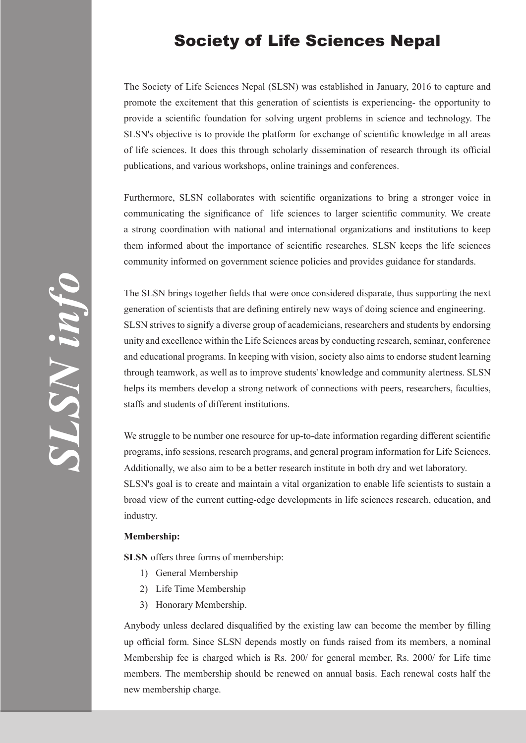## Society of Life Sciences Nepal

The Society of Life Sciences Nepal (SLSN) was established in January, 2016 to capture and promote the excitement that this generation of scientists is experiencing- the opportunity to provide a scientific foundation for solving urgent problems in science and technology. The SLSN's objective is to provide the platform for exchange of scientific knowledge in all areas of life sciences. It does this through scholarly dissemination of research through its official publications, and various workshops, online trainings and conferences.

Furthermore, SLSN collaborates with scientific organizations to bring a stronger voice in communicating the significance of life sciences to larger scientific community. We create a strong coordination with national and international organizations and institutions to keep them informed about the importance of scientific researches. SLSN keeps the life sciences community informed on government science policies and provides guidance for standards.

The SLSN brings together fields that were once considered disparate, thus supporting the next generation of scientists that are defining entirely new ways of doing science and engineering. SLSN strives to signify a diverse group of academicians, researchers and students by endorsing unity and excellence within the Life Sciences areas by conducting research, seminar, conference and educational programs. In keeping with vision, society also aims to endorse student learning through teamwork, as well as to improve students' knowledge and community alertness. SLSN helps its members develop a strong network of connections with peers, researchers, faculties, staffs and students of different institutions.

We struggle to be number one resource for up-to-date information regarding different scientific programs, info sessions, research programs, and general program information for Life Sciences. Additionally, we also aim to be a better research institute in both dry and wet laboratory. SLSN's goal is to create and maintain a vital organization to enable life scientists to sustain a broad view of the current cutting-edge developments in life sciences research, education, and industry.

## **Membership:**

**SLSN** offers three forms of membership:

- 1) General Membership
- 2) Life Time Membership
- 3) Honorary Membership.

Anybody unless declared disqualified by the existing law can become the member by filling up official form. Since SLSN depends mostly on funds raised from its members, a nominal Membership fee is charged which is Rs. 200/ for general member, Rs. 2000/ for Life time members. The membership should be renewed on annual basis. Each renewal costs half the new membership charge.